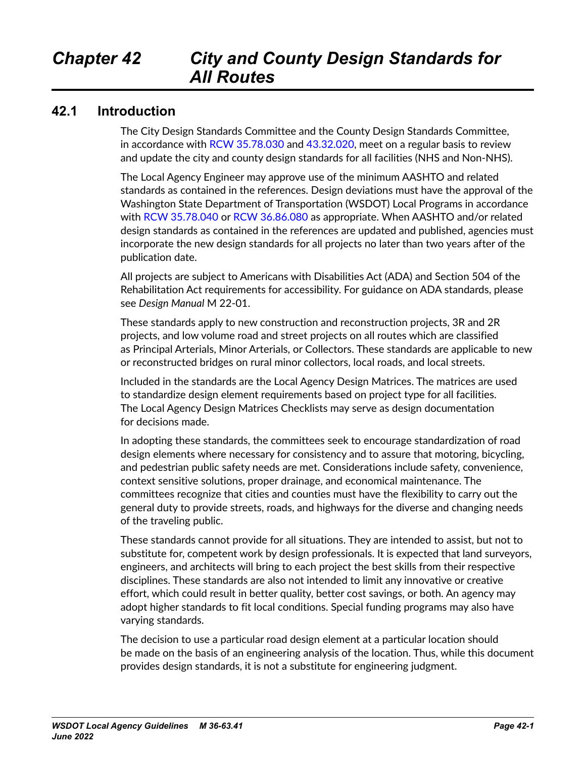### **42.1 Introduction**

The City Design Standards Committee and the County Design Standards Committee, in accordance with [RCW 35.78.030](http://apps.leg.wa.gov/RCW/default.aspx?cite=35.78.030) and [43.32.020](http://apps.leg.wa.gov/RCW/default.aspx?cite=43.32.020), meet on a regular basis to review and update the city and county design standards for all facilities (NHS and Non-NHS).

The Local Agency Engineer may approve use of the minimum AASHTO and related standards as contained in the references. Design deviations must have the approval of the Washington State Department of Transportation (WSDOT) Local Programs in accordance with [RCW 35.78.040](http://apps.leg.wa.gov/RCW/default.aspx?cite=35.78.040) or RCW [36.86.080](http://apps.leg.wa.gov/RCW/default.aspx?cite=36.86.080) as appropriate. When AASHTO and/or related design standards as contained in the references are updated and published, agencies must incorporate the new design standards for all projects no later than two years after of the publication date.

All projects are subject to Americans with Disabilities Act (ADA) and Section 504 of the Rehabilitation Act requirements for accessibility. For guidance on ADA standards, please see *[Design Manual](http://www.wsdot.wa.gov/Publications/Manuals/M22-01.htm)* M 22-01.

These standards apply to new construction and reconstruction projects, 3R and 2R projects, and low volume road and street projects on all routes which are classified as Principal Arterials, Minor Arterials, or Collectors. These standards are applicable to new or reconstructed bridges on rural minor collectors, local roads, and local streets.

Included in the standards are the Local Agency Design Matrices. The matrices are used to standardize design element requirements based on project type for all facilities. The Local Agency Design Matrices Checklists may serve as design documentation for decisions made.

In adopting these standards, the committees seek to encourage standardization of road design elements where necessary for consistency and to assure that motoring, bicycling, and pedestrian public safety needs are met. Considerations include safety, convenience, context sensitive solutions, proper drainage, and economical maintenance. The committees recognize that cities and counties must have the flexibility to carry out the general duty to provide streets, roads, and highways for the diverse and changing needs of the traveling public.

These standards cannot provide for all situations. They are intended to assist, but not to substitute for, competent work by design professionals. It is expected that land surveyors, engineers, and architects will bring to each project the best skills from their respective disciplines. These standards are also not intended to limit any innovative or creative effort, which could result in better quality, better cost savings, or both. An agency may adopt higher standards to fit local conditions. Special funding programs may also have varying standards.

The decision to use a particular road design element at a particular location should be made on the basis of an engineering analysis of the location. Thus, while this document provides design standards, it is not a substitute for engineering judgment.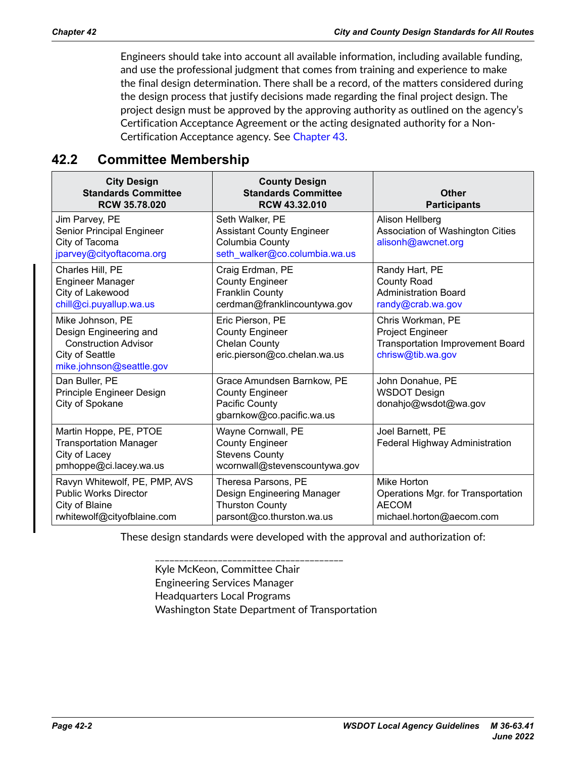Engineers should take into account all available information, including available funding, and use the professional judgment that comes from training and experience to make the final design determination. There shall be a record, of the matters considered during the design process that justify decisions made regarding the final project design. The project design must be approved by the approving authority as outlined on the agency's Certification Acceptance Agreement or the acting designated authority for a Non-Certification Acceptance agency. See Chapter 43.

## **42.2 Committee Membership**

| <b>City Design</b><br><b>Standards Committee</b><br><b>RCW 35.78.020</b>                                                 | <b>County Design</b><br><b>Standards Committee</b><br>RCW 43.32.010                                      | Other<br><b>Participants</b>                                                                          |
|--------------------------------------------------------------------------------------------------------------------------|----------------------------------------------------------------------------------------------------------|-------------------------------------------------------------------------------------------------------|
| Jim Parvey, PE<br>Senior Principal Engineer<br>City of Tacoma<br>jparvey@cityoftacoma.org                                | Seth Walker, PE<br><b>Assistant County Engineer</b><br>Columbia County<br>seth_walker@co.columbia.wa.us  | Alison Hellberg<br>Association of Washington Cities<br>alisonh@awcnet.org                             |
| Charles Hill, PE<br><b>Engineer Manager</b><br>City of Lakewood<br>chill@ci.puyallup.wa.us                               | Craig Erdman, PE<br><b>County Engineer</b><br><b>Franklin County</b><br>cerdman@franklincountywa.gov     | Randy Hart, PE<br><b>County Road</b><br><b>Administration Board</b><br>randy@crab.wa.gov              |
| Mike Johnson, PE<br>Design Engineering and<br><b>Construction Advisor</b><br>City of Seattle<br>mike.johnson@seattle.gov | Eric Pierson, PE<br><b>County Engineer</b><br><b>Chelan County</b><br>eric.pierson@co.chelan.wa.us       | Chris Workman, PE<br>Project Engineer<br><b>Transportation Improvement Board</b><br>chrisw@tib.wa.gov |
| Dan Buller, PE<br>Principle Engineer Design<br>City of Spokane                                                           | Grace Amundsen Barnkow, PE<br><b>County Engineer</b><br>Pacific County<br>gbarnkow@co.pacific.wa.us      | John Donahue, PE<br><b>WSDOT Design</b><br>donahjo@wsdot@wa.gov                                       |
| Martin Hoppe, PE, PTOE<br><b>Transportation Manager</b><br>City of Lacey<br>pmhoppe@ci.lacey.wa.us                       | Wayne Cornwall, PE<br><b>County Engineer</b><br><b>Stevens County</b><br>wcornwall@stevenscountywa.gov   | Joel Barnett, PE<br>Federal Highway Administration                                                    |
| Ravyn Whitewolf, PE, PMP, AVS<br><b>Public Works Director</b><br>City of Blaine<br>rwhitewolf@cityofblaine.com           | Theresa Parsons, PE<br>Design Engineering Manager<br><b>Thurston County</b><br>parsont@co.thurston.wa.us | Mike Horton<br>Operations Mgr. for Transportation<br><b>AECOM</b><br>michael.horton@aecom.com         |

These design standards were developed with the approval and authorization of:

\_\_\_\_\_\_\_\_\_\_\_\_\_\_\_\_\_\_\_\_\_\_\_\_\_\_\_\_\_\_\_\_\_\_\_\_\_\_\_ Kyle McKeon, Committee Chair Engineering Services Manager Headquarters Local Programs Washington State Department of Transportation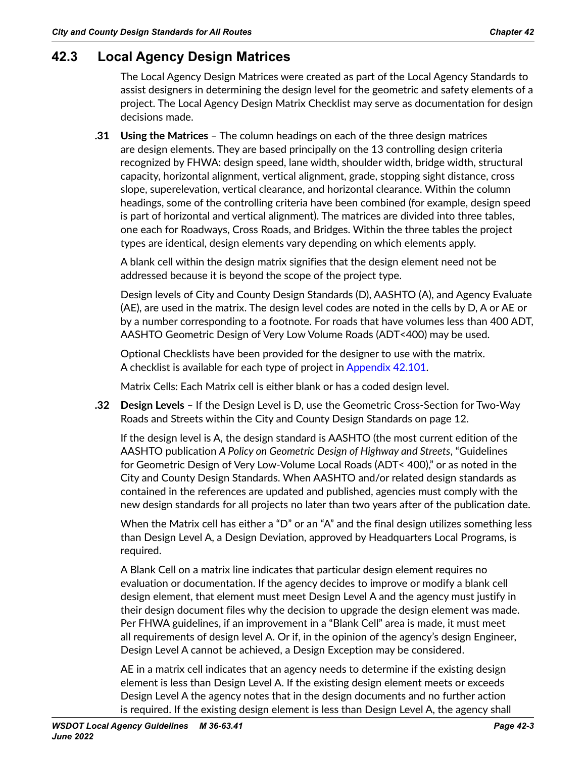## **42.3 Local Agency Design Matrices**

The Local Agency Design Matrices were created as part of the Local Agency Standards to assist designers in determining the design level for the geometric and safety elements of a project. The Local Agency Design Matrix Checklist may serve as documentation for design decisions made.

**.31 Using the Matrices** – The column headings on each of the three design matrices are design elements. They are based principally on the 13 controlling design criteria recognized by FHWA: design speed, lane width, shoulder width, bridge width, structural capacity, horizontal alignment, vertical alignment, grade, stopping sight distance, cross slope, superelevation, vertical clearance, and horizontal clearance. Within the column headings, some of the controlling criteria have been combined (for example, design speed is part of horizontal and vertical alignment). The matrices are divided into three tables, one each for Roadways, Cross Roads, and Bridges. Within the three tables the project types are identical, design elements vary depending on which elements apply.

A blank cell within the design matrix signifies that the design element need not be addressed because it is beyond the scope of the project type.

Design levels of City and County Design Standards (D), AASHTO (A), and Agency Evaluate (AE), are used in the matrix. The design level codes are noted in the cells by D, A or AE or by a number corresponding to a footnote. For roads that have volumes less than 400 ADT, AASHTO Geometric Design of Very Low Volume Roads (ADT<400) may be used.

Optional Checklists have been provided for the designer to use with the matrix. A checklist is available for each type of project in Appendix 42.101.

Matrix Cells: Each Matrix cell is either blank or has a coded design level.

**.32 Design Levels** – If the Design Level is D, use the Geometric Cross-Section for Two-Way Roads and Streets within the City and County Design Standards on page 12.

If the design level is A, the design standard is AASHTO (the most current edition of the AASHTO publication *A Policy on Geometric Design of Highway and Streets*, "Guidelines for Geometric Design of Very Low-Volume Local Roads (ADT< 400)," or as noted in the City and County Design Standards. When AASHTO and/or related design standards as contained in the references are updated and published, agencies must comply with the new design standards for all projects no later than two years after of the publication date.

When the Matrix cell has either a "D" or an "A" and the final design utilizes something less than Design Level A, a Design Deviation, approved by Headquarters Local Programs, is required.

A Blank Cell on a matrix line indicates that particular design element requires no evaluation or documentation. If the agency decides to improve or modify a blank cell design element, that element must meet Design Level A and the agency must justify in their design document files why the decision to upgrade the design element was made. Per FHWA guidelines, if an improvement in a "Blank Cell" area is made, it must meet all requirements of design level A. Or if, in the opinion of the agency's design Engineer, Design Level A cannot be achieved, a Design Exception may be considered.

AE in a matrix cell indicates that an agency needs to determine if the existing design element is less than Design Level A. If the existing design element meets or exceeds Design Level A the agency notes that in the design documents and no further action is required. If the existing design element is less than Design Level A, the agency shall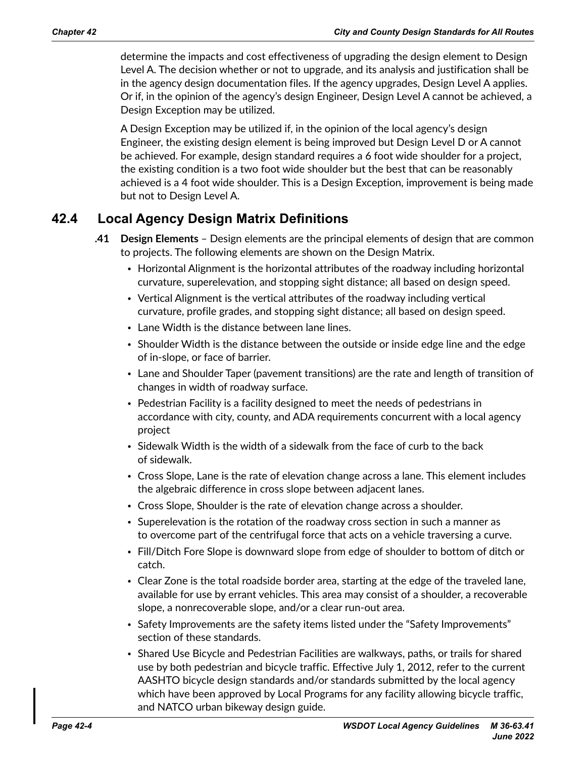determine the impacts and cost effectiveness of upgrading the design element to Design Level A. The decision whether or not to upgrade, and its analysis and justification shall be in the agency design documentation files. If the agency upgrades, Design Level A applies. Or if, in the opinion of the agency's design Engineer, Design Level A cannot be achieved, a Design Exception may be utilized.

A Design Exception may be utilized if, in the opinion of the local agency's design Engineer, the existing design element is being improved but Design Level D or A cannot be achieved. For example, design standard requires a 6 foot wide shoulder for a project, the existing condition is a two foot wide shoulder but the best that can be reasonably achieved is a 4 foot wide shoulder. This is a Design Exception, improvement is being made but not to Design Level A.

## **42.4 Local Agency Design Matrix Definitions**

- **.41 Design Elements**  Design elements are the principal elements of design that are common to projects. The following elements are shown on the Design Matrix.
	- Horizontal Alignment is the horizontal attributes of the roadway including horizontal curvature, superelevation, and stopping sight distance; all based on design speed.
	- Vertical Alignment is the vertical attributes of the roadway including vertical curvature, profile grades, and stopping sight distance; all based on design speed.
	- Lane Width is the distance between lane lines.
	- Shoulder Width is the distance between the outside or inside edge line and the edge of in-slope, or face of barrier.
	- Lane and Shoulder Taper (pavement transitions) are the rate and length of transition of changes in width of roadway surface.
	- Pedestrian Facility is a facility designed to meet the needs of pedestrians in accordance with city, county, and ADA requirements concurrent with a local agency project
	- Sidewalk Width is the width of a sidewalk from the face of curb to the back of sidewalk.
	- Cross Slope, Lane is the rate of elevation change across a lane. This element includes the algebraic difference in cross slope between adjacent lanes.
	- Cross Slope, Shoulder is the rate of elevation change across a shoulder.
	- Superelevation is the rotation of the roadway cross section in such a manner as to overcome part of the centrifugal force that acts on a vehicle traversing a curve.
	- Fill/Ditch Fore Slope is downward slope from edge of shoulder to bottom of ditch or catch.
	- Clear Zone is the total roadside border area, starting at the edge of the traveled lane, available for use by errant vehicles. This area may consist of a shoulder, a recoverable slope, a nonrecoverable slope, and/or a clear run-out area.
	- Safety Improvements are the safety items listed under the "Safety Improvements" section of these standards.
	- Shared Use Bicycle and Pedestrian Facilities are walkways, paths, or trails for shared use by both pedestrian and bicycle traffic. Effective July 1, 2012, refer to the current AASHTO bicycle design standards and/or standards submitted by the local agency which have been approved by Local Programs for any facility allowing bicycle traffic, and NATCO urban bikeway design guide.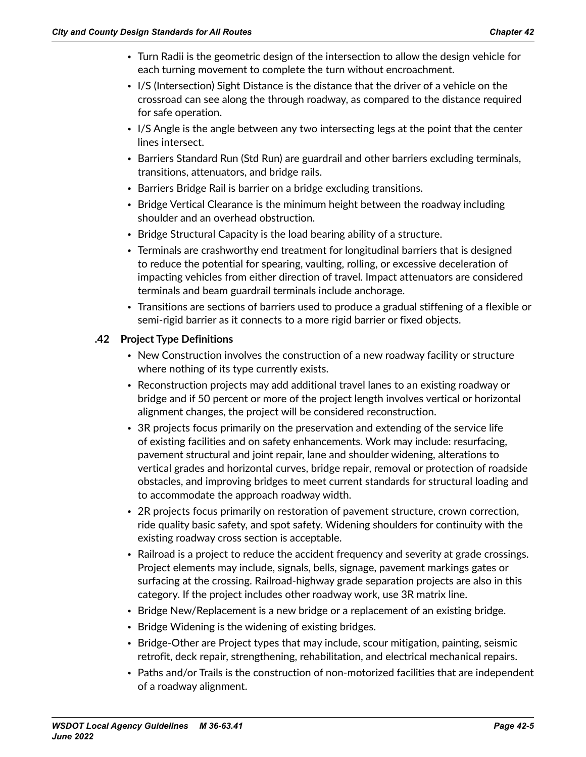- Turn Radii is the geometric design of the intersection to allow the design vehicle for each turning movement to complete the turn without encroachment.
- I/S (Intersection) Sight Distance is the distance that the driver of a vehicle on the crossroad can see along the through roadway, as compared to the distance required for safe operation.
- I/S Angle is the angle between any two intersecting legs at the point that the center lines intersect.
- Barriers Standard Run (Std Run) are guardrail and other barriers excluding terminals, transitions, attenuators, and bridge rails.
- Barriers Bridge Rail is barrier on a bridge excluding transitions.
- Bridge Vertical Clearance is the minimum height between the roadway including shoulder and an overhead obstruction.
- Bridge Structural Capacity is the load bearing ability of a structure.
- Terminals are crashworthy end treatment for longitudinal barriers that is designed to reduce the potential for spearing, vaulting, rolling, or excessive deceleration of impacting vehicles from either direction of travel. Impact attenuators are considered terminals and beam guardrail terminals include anchorage.
- Transitions are sections of barriers used to produce a gradual stiffening of a flexible or semi-rigid barrier as it connects to a more rigid barrier or fixed objects.

#### **.42 Project Type Definitions**

- New Construction involves the construction of a new roadway facility or structure where nothing of its type currently exists.
- Reconstruction projects may add additional travel lanes to an existing roadway or bridge and if 50 percent or more of the project length involves vertical or horizontal alignment changes, the project will be considered reconstruction.
- 3R projects focus primarily on the preservation and extending of the service life of existing facilities and on safety enhancements. Work may include: resurfacing, pavement structural and joint repair, lane and shoulder widening, alterations to vertical grades and horizontal curves, bridge repair, removal or protection of roadside obstacles, and improving bridges to meet current standards for structural loading and to accommodate the approach roadway width.
- 2R projects focus primarily on restoration of pavement structure, crown correction, ride quality basic safety, and spot safety. Widening shoulders for continuity with the existing roadway cross section is acceptable.
- Railroad is a project to reduce the accident frequency and severity at grade crossings. Project elements may include, signals, bells, signage, pavement markings gates or surfacing at the crossing. Railroad-highway grade separation projects are also in this category. If the project includes other roadway work, use 3R matrix line.
- Bridge New/Replacement is a new bridge or a replacement of an existing bridge.
- Bridge Widening is the widening of existing bridges.
- Bridge-Other are Project types that may include, scour mitigation, painting, seismic retrofit, deck repair, strengthening, rehabilitation, and electrical mechanical repairs.
- Paths and/or Trails is the construction of non-motorized facilities that are independent of a roadway alignment.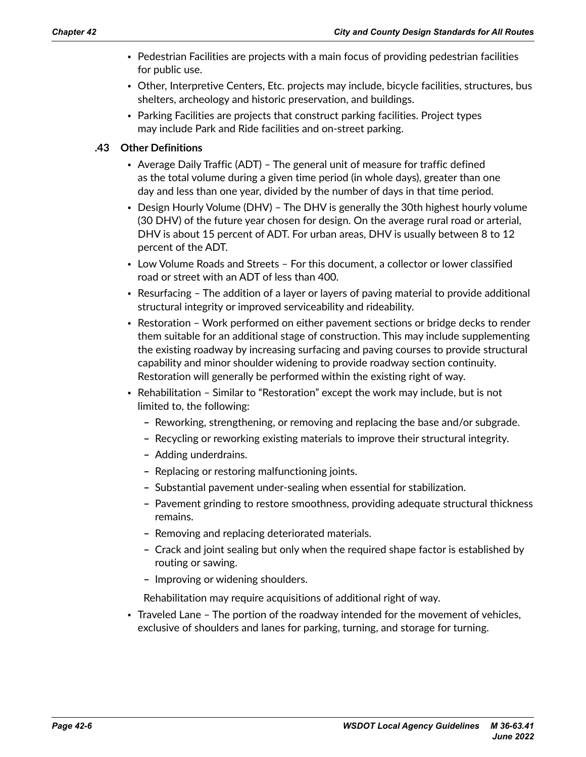- Pedestrian Facilities are projects with a main focus of providing pedestrian facilities for public use.
- Other, Interpretive Centers, Etc. projects may include, bicycle facilities, structures, bus shelters, archeology and historic preservation, and buildings.
- Parking Facilities are projects that construct parking facilities. Project types may include Park and Ride facilities and on-street parking.

#### **.43 Other Definitions**

- Average Daily Traffic (ADT) The general unit of measure for traffic defined as the total volume during a given time period (in whole days), greater than one day and less than one year, divided by the number of days in that time period.
- Design Hourly Volume (DHV) The DHV is generally the 30th highest hourly volume (30 DHV) of the future year chosen for design. On the average rural road or arterial, DHV is about 15 percent of ADT. For urban areas, DHV is usually between 8 to 12 percent of the ADT.
- Low Volume Roads and Streets For this document, a collector or lower classified road or street with an ADT of less than 400.
- Resurfacing The addition of a layer or layers of paving material to provide additional structural integrity or improved serviceability and rideability.
- Restoration Work performed on either pavement sections or bridge decks to render them suitable for an additional stage of construction. This may include supplementing the existing roadway by increasing surfacing and paving courses to provide structural capability and minor shoulder widening to provide roadway section continuity. Restoration will generally be performed within the existing right of way.
- Rehabilitation Similar to "Restoration" except the work may include, but is not limited to, the following:
	- **–** Reworking, strengthening, or removing and replacing the base and/or subgrade.
	- **–** Recycling or reworking existing materials to improve their structural integrity.
	- **–** Adding underdrains.
	- **–** Replacing or restoring malfunctioning joints.
	- **–** Substantial pavement under-sealing when essential for stabilization.
	- **–** Pavement grinding to restore smoothness, providing adequate structural thickness remains.
	- **–** Removing and replacing deteriorated materials.
	- **–** Crack and joint sealing but only when the required shape factor is established by routing or sawing.
	- **–** Improving or widening shoulders.

Rehabilitation may require acquisitions of additional right of way.

• Traveled Lane – The portion of the roadway intended for the movement of vehicles, exclusive of shoulders and lanes for parking, turning, and storage for turning.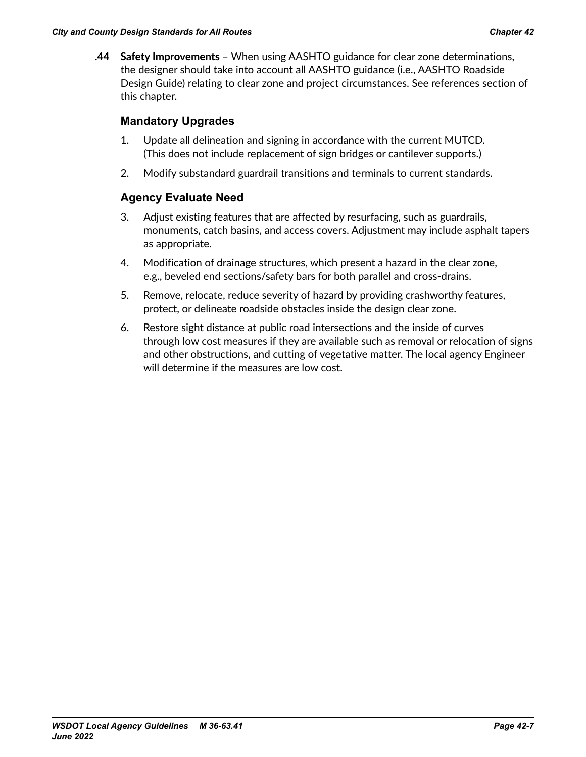**.44 Safety Improvements** – When using AASHTO guidance for clear zone determinations, the designer should take into account all AASHTO guidance (i.e., AASHTO Roadside Design Guide) relating to clear zone and project circumstances. See references section of this chapter.

#### **Mandatory Upgrades**

- 1. Update all delineation and signing in accordance with the current MUTCD. (This does not include replacement of sign bridges or cantilever supports.)
- 2. Modify substandard guardrail transitions and terminals to current standards.

#### **Agency Evaluate Need**

- 3. Adjust existing features that are affected by resurfacing, such as guardrails, monuments, catch basins, and access covers. Adjustment may include asphalt tapers as appropriate.
- 4. Modification of drainage structures, which present a hazard in the clear zone, e.g., beveled end sections/safety bars for both parallel and cross-drains.
- 5. Remove, relocate, reduce severity of hazard by providing crashworthy features, protect, or delineate roadside obstacles inside the design clear zone.
- 6. Restore sight distance at public road intersections and the inside of curves through low cost measures if they are available such as removal or relocation of signs and other obstructions, and cutting of vegetative matter. The local agency Engineer will determine if the measures are low cost.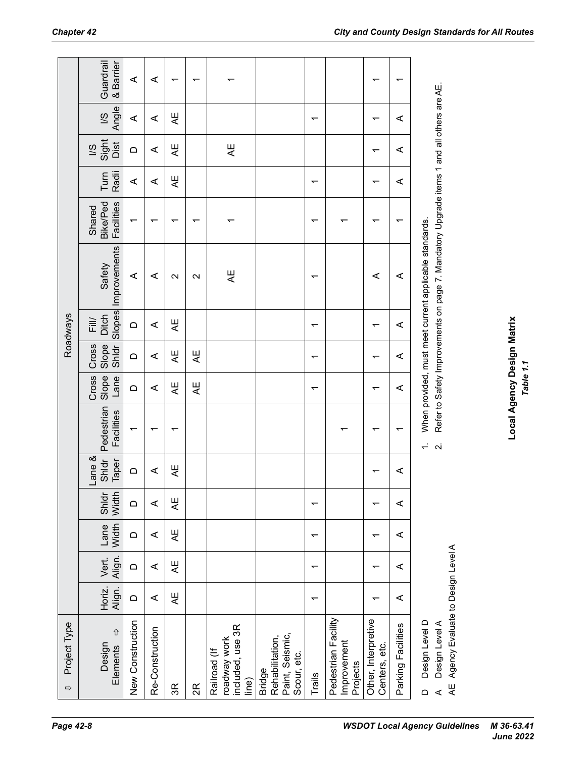| Project Type<br>$\Rightarrow$                                                                      |                          |                 |                          |                          |                          |                                   |                               |                          | <b>Roadways</b>         |                                                                                                                                                    |                                         |               |                                 |                         |                        |
|----------------------------------------------------------------------------------------------------|--------------------------|-----------------|--------------------------|--------------------------|--------------------------|-----------------------------------|-------------------------------|--------------------------|-------------------------|----------------------------------------------------------------------------------------------------------------------------------------------------|-----------------------------------------|---------------|---------------------------------|-------------------------|------------------------|
| $\hat{\mathbb{U}}$<br>Design<br>Elements                                                           | Horiz.<br>Align.         | Align.<br>Vert. | Width<br>Lane            | Shldr<br>Width           | ane &<br>Shidr<br>Taper  | Pedestrian<br>Facilities          | <b>Slope</b><br>Cross<br>Lane | Slope<br>Cross<br>Shldr  | Slopes<br>Ditch<br>Fill | Improvements<br>Safety                                                                                                                             | <b>Bike/Ped</b><br>Facilities<br>Shared | Radii<br>Turn | Sight<br>Dist<br>$\overline{3}$ | Angle<br>$\overline{8}$ | Guardrail<br>& Barrier |
| New Construction                                                                                   | $\hfill \Box$            | $\Omega$        | $\hfill \Box$            | $\Box$                   | $\Omega$                 | $\overline{\phantom{0}}$          | $\Box$                        | $\Box$                   | $\Omega$                | ⋖                                                                                                                                                  | $\overline{\phantom{0}}$                | ⋖             | $\Box$                          | ⋖                       | ⋖                      |
| Re-Construction                                                                                    | ⋖                        | ⋖               | ⋖                        | $\prec$                  | ⋖                        |                                   | ⋖                             | ⋖                        | ⋖                       | ⋖                                                                                                                                                  | ↽                                       | ⋖             | ⋖                               | ⋖                       | ⋖                      |
| 3R                                                                                                 | ¥E                       | Æ               | Æ                        | Æ                        | Æ                        | ᡪ                                 | Æ                             | ¥E                       | Æ                       | $\mathbf{\Omega}$                                                                                                                                  | ↽                                       | ¥E            | ¥E                              | ¥E                      | ↽                      |
| 2R                                                                                                 |                          |                 |                          |                          |                          |                                   | 当人                            | ¥E                       |                         | $\mathbf{\Omega}$                                                                                                                                  | ↽                                       |               |                                 |                         | ↽                      |
| included, use 3R<br>roadway work<br>Railroad (If<br>ine)                                           |                          |                 |                          |                          |                          |                                   |                               |                          |                         | Æ                                                                                                                                                  |                                         |               | Æ                               |                         |                        |
| Paint, Seismic,<br>Rehabilitation,<br>Scour, etc.<br><b>Bridge</b>                                 |                          |                 |                          |                          |                          |                                   |                               |                          |                         |                                                                                                                                                    |                                         |               |                                 |                         |                        |
| Trails                                                                                             | $\overline{\phantom{0}}$ | ↽               | $\overline{\phantom{0}}$ | ᠇                        |                          |                                   | ↽                             | $\overline{\phantom{0}}$ | ↽                       | ↽                                                                                                                                                  | ↽                                       | ↽             |                                 | ↽                       |                        |
| Pedestrian Facility<br>Improvement<br>Projects                                                     |                          |                 |                          |                          |                          |                                   |                               |                          |                         |                                                                                                                                                    | ᠇                                       |               |                                 |                         |                        |
| Other, Interpretive<br>Centers, etc.                                                               | $\overline{\phantom{0}}$ | ↽               | $\overline{\phantom{0}}$ | $\overline{\phantom{0}}$ | $\overline{\phantom{0}}$ |                                   | ↽                             | $\overline{\phantom{0}}$ | ↽                       | $\prec$                                                                                                                                            | ↽                                       | ↽             | $\overline{\phantom{0}}$        | ↽                       | ᠇                      |
| Parking Facilities                                                                                 | ⋖                        | ⋖               | ⋖                        | ⋖                        | ⋖                        | ᠇                                 | ⋖                             | ⋖                        | ⋖                       | ⋖                                                                                                                                                  | ᠇                                       | ⋖             | ⋖                               | ⋖                       | ᠇                      |
| Agency Evaluate to Design Level A<br>Design Level D<br>Design Level A<br>AE<br>$\Omega$<br>$\prec$ |                          |                 |                          |                          |                          | $\div$<br>$\overline{\mathbf{N}}$ |                               |                          |                         | Refer to Safety Improvements on page 7. Mandatory Upgrade items 1 and all others are AE.<br>When provided, must meet current applicable standards. |                                         |               |                                 |                         |                        |

**Local Agency Design Matrix** *Table 1.1*

Local Agency Design Matrix<br>Table 1.1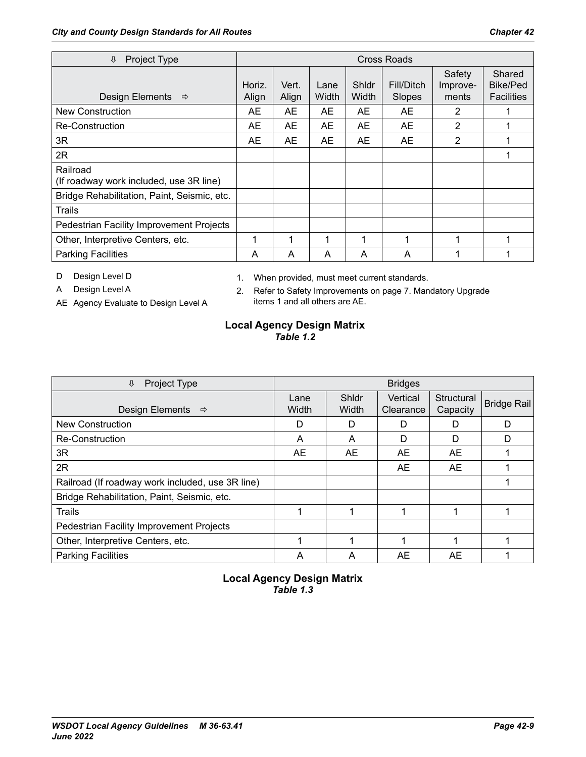| Project Type<br>⇩                                   |                 |                |               |                | Cross Roads          |                             |                                                |
|-----------------------------------------------------|-----------------|----------------|---------------|----------------|----------------------|-----------------------------|------------------------------------------------|
| Design Elements<br>$\Rightarrow$                    | Horiz.<br>Align | Vert.<br>Align | Lane<br>Width | Shidr<br>Width | Fill/Ditch<br>Slopes | Safety<br>Improve-<br>ments | Shared<br><b>Bike/Ped</b><br><b>Facilities</b> |
| <b>New Construction</b>                             | <b>AE</b>       | <b>AE</b>      | AE            | AE             | <b>AE</b>            | 2                           |                                                |
| Re-Construction                                     | AE              | AE             | AE            | <b>AE</b>      | <b>AE</b>            | 2                           |                                                |
| 3R                                                  | AE              | AE             | AE            | AE             | AE                   | 2                           |                                                |
| 2R                                                  |                 |                |               |                |                      |                             |                                                |
| Railroad<br>(If roadway work included, use 3R line) |                 |                |               |                |                      |                             |                                                |
| Bridge Rehabilitation, Paint, Seismic, etc.         |                 |                |               |                |                      |                             |                                                |
| Trails                                              |                 |                |               |                |                      |                             |                                                |
| Pedestrian Facility Improvement Projects            |                 |                |               |                |                      |                             |                                                |
| Other, Interpretive Centers, etc.                   |                 | 1              | 1             | 1              | 1                    |                             |                                                |
| <b>Parking Facilities</b>                           | A               | A              | A             | A              | A                    |                             |                                                |

D Design Level D

1. When provided, must meet current standards.

A Design Level A

- AE Agency Evaluate to Design Level A
- 2. Refer to Safety Improvements on page 7. Mandatory Upgrade items 1 and all others are AE.

#### **Local Agency Design Matrix** *Table 1.2*

| Project Type<br>⇩                                |               |                | <b>Bridges</b>        |                        |                    |
|--------------------------------------------------|---------------|----------------|-----------------------|------------------------|--------------------|
| Design Elements<br>$\Rightarrow$                 | Lane<br>Width | Shidr<br>Width | Vertical<br>Clearance | Structural<br>Capacity | <b>Bridge Rail</b> |
| <b>New Construction</b>                          | D             | D              | D                     | D                      | D                  |
| Re-Construction                                  | A             | A              | D                     | D                      | D                  |
| 3R                                               | AE            | AE             | AE                    | AE.                    |                    |
| 2R                                               |               |                | AE                    | AE                     |                    |
| Railroad (If roadway work included, use 3R line) |               |                |                       |                        |                    |
| Bridge Rehabilitation, Paint, Seismic, etc.      |               |                |                       |                        |                    |
| <b>Trails</b>                                    |               |                |                       |                        |                    |
| Pedestrian Facility Improvement Projects         |               |                |                       |                        |                    |
| Other, Interpretive Centers, etc.                |               |                |                       |                        |                    |
| <b>Parking Facilities</b>                        | A             | A              | AE                    | AE                     |                    |

#### **Local Agency Design Matrix** *Table 1.3*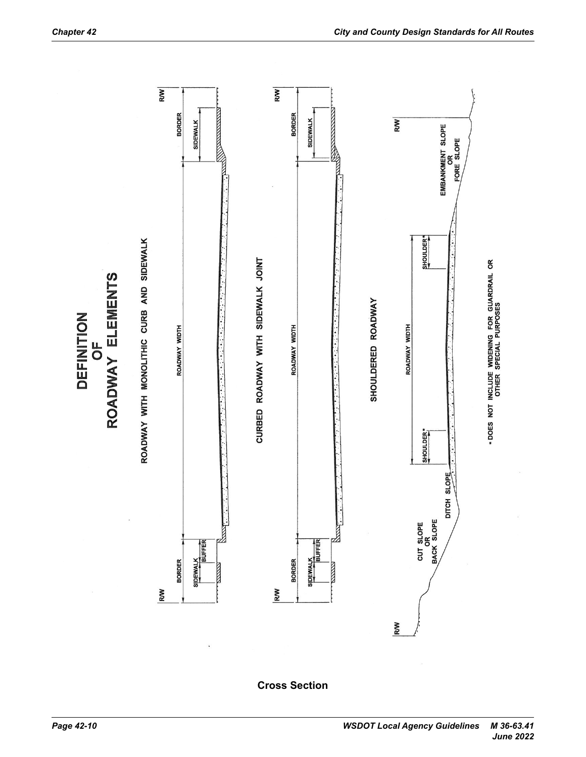

**Cross Section**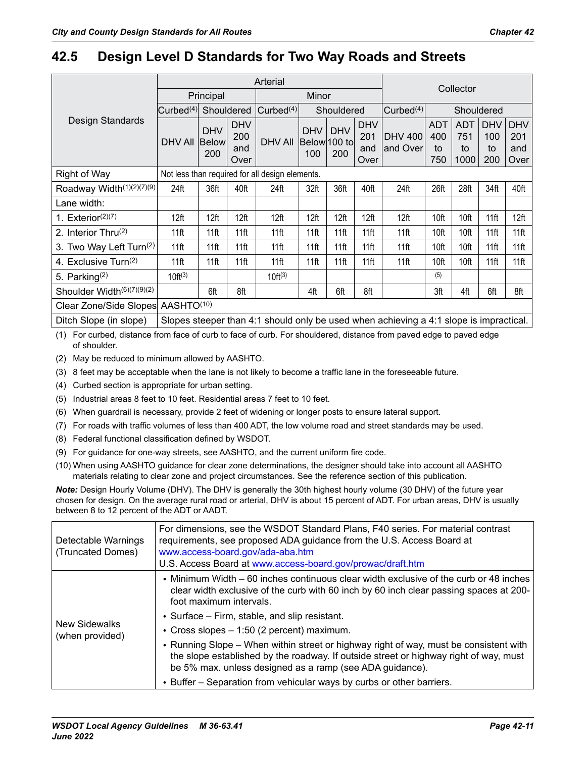## **42.5 Design Level D Standards for Two Way Roads and Streets**

|                              |                               |                                   |                                  | Arterial                                        |                                   |                   |                                  |                                                                                        |                                | Collector                       |                                |                                  |
|------------------------------|-------------------------------|-----------------------------------|----------------------------------|-------------------------------------------------|-----------------------------------|-------------------|----------------------------------|----------------------------------------------------------------------------------------|--------------------------------|---------------------------------|--------------------------------|----------------------------------|
|                              |                               | Principal                         |                                  |                                                 | Minor                             |                   |                                  |                                                                                        |                                |                                 |                                |                                  |
|                              | $\vert$ Curbed <sup>(4)</sup> | Shouldered                        |                                  | Curbed <sup>(4)</sup>                           |                                   | Shouldered        |                                  | Curbed <sup>(4)</sup>                                                                  |                                | Shouldered                      |                                |                                  |
| Design Standards             | <b>DHV AII</b>                | <b>DHV</b><br><b>Below</b><br>200 | <b>DHV</b><br>200<br>and<br>Over | <b>DHV AII</b>                                  | <b>DHV</b><br>Below 100 to<br>100 | <b>DHV</b><br>200 | <b>DHV</b><br>201<br>and<br>Over | <b>DHV 400</b><br>and Over                                                             | <b>ADT</b><br>400<br>to<br>750 | <b>ADT</b><br>751<br>to<br>1000 | <b>DHV</b><br>100<br>to<br>200 | <b>DHV</b><br>201<br>and<br>Over |
| <b>Right of Way</b>          |                               |                                   |                                  | Not less than required for all design elements. |                                   |                   |                                  |                                                                                        |                                |                                 |                                |                                  |
| Roadway Width $(1)(2)(7)(9)$ | 24ft                          | 36ft                              | 40ft                             | 24ft                                            | 32ft                              | 36ft              | 40ft                             | 24ft                                                                                   | 26ft                           | 28ft                            | 34ft                           | 40ft                             |
| Lane width:                  |                               |                                   |                                  |                                                 |                                   |                   |                                  |                                                                                        |                                |                                 |                                |                                  |
| 1. Exterior $(2)(7)$         | 12 <sup>ft</sup>              | 12 <sup>ft</sup>                  | 12 <sup>ft</sup>                 | 12 <sup>ft</sup>                                | 12 <sup>ft</sup>                  | 12 <sup>ft</sup>  | 12ft                             | 12 <sup>ft</sup>                                                                       | 10ft                           | 10ft                            | 11 <sub>ft</sub>               | 12ft                             |
| 2. Interior Thru(2)          | 11 <sub>ft</sub>              | 11 <sub>ft</sub>                  | 11 <sup>ft</sup>                 | 11 <sup>ft</sup>                                | 11 <sub>ft</sub>                  | 11ft              | 11 <sub>ft</sub>                 | 11 <sup>ft</sup>                                                                       | 10ft                           | 10ft                            | 11 <sub>ft</sub>               | 11ft                             |
| 3. Two Way Left Turn(2)      | 11 <sub>ft</sub>              | 11ft                              | 11ft                             | 11 <sup>ft</sup>                                | 11 <sub>ft</sub>                  | 11ft              | 11 <sub>ft</sub>                 | 11 <sup>ft</sup>                                                                       | 10ft                           | 10ft                            | 11 <sub>ft</sub>               | 11 <sub>ft</sub>                 |
| 4. Exclusive Turn $(2)$      | 11ft                          | 11 <sub>ft</sub>                  | 11 <sub>ft</sub>                 | $11$ ft                                         | 11 <sub>ft</sub>                  | 11ft              | $11$ ft                          | 11 <sup>ft</sup>                                                                       | 10ft                           | 10ft                            | 11 <sub>ft</sub>               | 11ft                             |
| 5. Parking $(2)$             | $10ft^{(3)}$                  |                                   |                                  | $10ft^{(3)}$                                    |                                   |                   |                                  |                                                                                        | (5)                            |                                 |                                |                                  |
| Shoulder Width(6)(7)(9)(2)   |                               | 6ft                               | 8ft                              |                                                 | 4ft                               | 6ft               | 8ft                              |                                                                                        | 3ft                            | 4ft                             | 6ft                            | 8ft                              |
| Clear Zone/Side Slopes       | AASHTO <sup>(10)</sup>        |                                   |                                  |                                                 |                                   |                   |                                  |                                                                                        |                                |                                 |                                |                                  |
| Ditch Slope (in slope)       |                               |                                   |                                  |                                                 |                                   |                   |                                  | Slopes steeper than 4:1 should only be used when achieving a 4:1 slope is impractical. |                                |                                 |                                |                                  |

(1) For curbed, distance from face of curb to face of curb. For shouldered, distance from paved edge to paved edge of shoulder.

(2) May be reduced to minimum allowed by AASHTO.

(3) 8 feet may be acceptable when the lane is not likely to become a traffic lane in the foreseeable future.

(4) Curbed section is appropriate for urban setting.

(5) Industrial areas 8 feet to 10 feet. Residential areas 7 feet to 10 feet.

(6) When guardrail is necessary, provide 2 feet of widening or longer posts to ensure lateral support.

(7) For roads with traffic volumes of less than 400 ADT, the low volume road and street standards may be used.

(8) Federal functional classification defined by WSDOT.

(9) For guidance for one-way streets, see AASHTO, and the current uniform fire code.

(10) When using AASHTO guidance for clear zone determinations, the designer should take into account all AASHTO materials relating to clear zone and project circumstances. See the reference section of this publication.

*Note:* Design Hourly Volume (DHV). The DHV is generally the 30th highest hourly volume (30 DHV) of the future year chosen for design. On the average rural road or arterial, DHV is about 15 percent of ADT. For urban areas, DHV is usually between 8 to 12 percent of the ADT or AADT.

| Detectable Warnings<br>(Truncated Domes) | For dimensions, see the WSDOT Standard Plans, F40 series. For material contrast<br>requirements, see proposed ADA guidance from the U.S. Access Board at<br>www.access-board.gov/ada-aba.htm<br>U.S. Access Board at www.access-board.gov/prowac/draft.htm |
|------------------------------------------|------------------------------------------------------------------------------------------------------------------------------------------------------------------------------------------------------------------------------------------------------------|
|                                          | • Minimum Width – 60 inches continuous clear width exclusive of the curb or 48 inches<br>clear width exclusive of the curb with 60 inch by 60 inch clear passing spaces at $200 -$<br>foot maximum intervals.                                              |
|                                          | • Surface – Firm, stable, and slip resistant.                                                                                                                                                                                                              |
| New Sidewalks<br>(when provided)         | • Cross slopes - 1:50 (2 percent) maximum.                                                                                                                                                                                                                 |
|                                          | • Running Slope – When within street or highway right of way, must be consistent with<br>the slope established by the roadway. If outside street or highway right of way, must<br>be 5% max. unless designed as a ramp (see ADA guidance).                 |
|                                          | • Buffer – Separation from vehicular ways by curbs or other barriers.                                                                                                                                                                                      |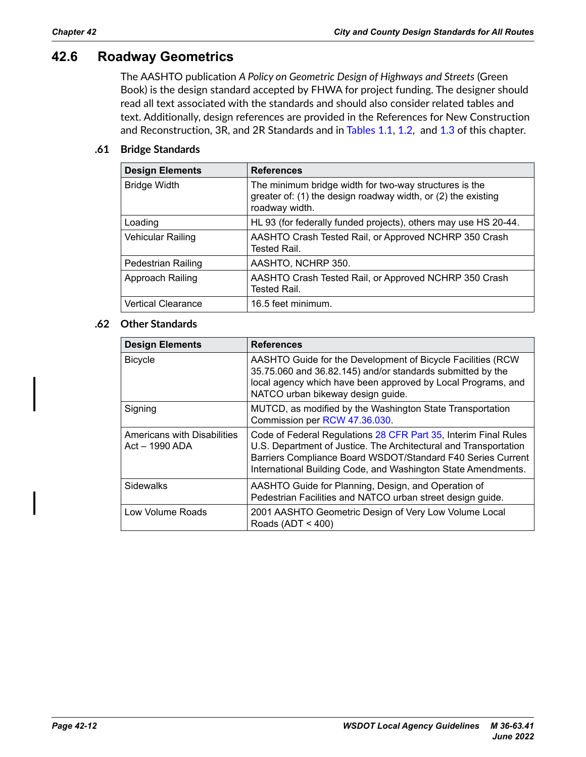## **42.6 Roadway Geometrics**

The AASHTO publication *A Policy on Geometric Design of Highways and Streets* (Green Book) is the design standard accepted by FHWA for project funding. The designer should read all text associated with the standards and should also consider related tables and text. Additionally, design references are provided in the References for New Construction and Reconstruction, 3R, and 2R Standards and in Tables 1.1, 1.2, and 1.3 of this chapter.

#### **.61 Bridge Standards**

| <b>Design Elements</b>    | <b>References</b>                                                                                                                         |
|---------------------------|-------------------------------------------------------------------------------------------------------------------------------------------|
| <b>Bridge Width</b>       | The minimum bridge width for two-way structures is the<br>greater of: (1) the design roadway width, or (2) the existing<br>roadway width. |
| Loading                   | HL 93 (for federally funded projects), others may use HS 20-44.                                                                           |
| Vehicular Railing         | AASHTO Crash Tested Rail, or Approved NCHRP 350 Crash<br>Tested Rail                                                                      |
| <b>Pedestrian Railing</b> | AASHTO, NCHRP 350.                                                                                                                        |
| Approach Railing          | AASHTO Crash Tested Rail, or Approved NCHRP 350 Crash<br>Tested Rail                                                                      |
| <b>Vertical Clearance</b> | 16.5 feet minimum.                                                                                                                        |

#### **.62 Other Standards**

| <b>Design Elements</b>                          | <b>References</b>                                                                                                                                                                                                                                                   |
|-------------------------------------------------|---------------------------------------------------------------------------------------------------------------------------------------------------------------------------------------------------------------------------------------------------------------------|
| <b>Bicycle</b>                                  | AASHTO Guide for the Development of Bicycle Facilities (RCW)<br>35.75.060 and 36.82.145) and/or standards submitted by the<br>local agency which have been approved by Local Programs, and<br>NATCO urban bikeway design guide.                                     |
| Signing                                         | MUTCD, as modified by the Washington State Transportation<br>Commission per RCW 47.36.030.                                                                                                                                                                          |
| Americans with Disabilities<br>$Act - 1990$ ADA | Code of Federal Regulations 28 CFR Part 35, Interim Final Rules<br>U.S. Department of Justice. The Architectural and Transportation<br>Barriers Compliance Board WSDOT/Standard F40 Series Current<br>International Building Code, and Washington State Amendments. |
| <b>Sidewalks</b>                                | AASHTO Guide for Planning, Design, and Operation of<br>Pedestrian Facilities and NATCO urban street design guide.                                                                                                                                                   |
| Low Volume Roads                                | 2001 AASHTO Geometric Design of Very Low Volume Local<br>Roads (ADT < $400$ )                                                                                                                                                                                       |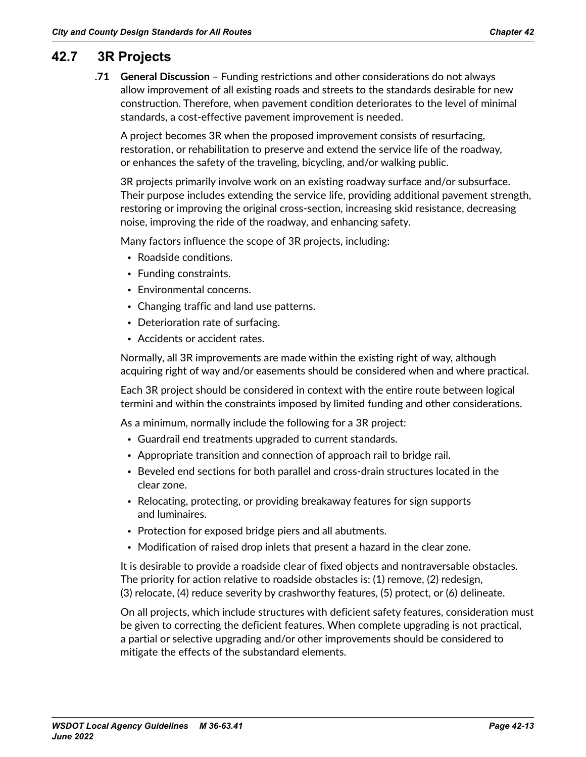## **42.7 3R Projects**

**.71 General Discussion** – Funding restrictions and other considerations do not always allow improvement of all existing roads and streets to the standards desirable for new construction. Therefore, when pavement condition deteriorates to the level of minimal standards, a cost-effective pavement improvement is needed.

A project becomes 3R when the proposed improvement consists of resurfacing, restoration, or rehabilitation to preserve and extend the service life of the roadway, or enhances the safety of the traveling, bicycling, and/or walking public.

3R projects primarily involve work on an existing roadway surface and/or subsurface. Their purpose includes extending the service life, providing additional pavement strength, restoring or improving the original cross-section, increasing skid resistance, decreasing noise, improving the ride of the roadway, and enhancing safety.

Many factors influence the scope of 3R projects, including:

- Roadside conditions.
- Funding constraints.
- Environmental concerns.
- Changing traffic and land use patterns.
- Deterioration rate of surfacing.
- Accidents or accident rates.

Normally, all 3R improvements are made within the existing right of way, although acquiring right of way and/or easements should be considered when and where practical.

Each 3R project should be considered in context with the entire route between logical termini and within the constraints imposed by limited funding and other considerations.

As a minimum, normally include the following for a 3R project:

- Guardrail end treatments upgraded to current standards.
- Appropriate transition and connection of approach rail to bridge rail.
- Beveled end sections for both parallel and cross-drain structures located in the clear zone.
- Relocating, protecting, or providing breakaway features for sign supports and luminaires.
- Protection for exposed bridge piers and all abutments.
- Modification of raised drop inlets that present a hazard in the clear zone.

It is desirable to provide a roadside clear of fixed objects and nontraversable obstacles. The priority for action relative to roadside obstacles is: (1) remove, (2) redesign, (3) relocate, (4) reduce severity by crashworthy features, (5) protect, or (6) delineate.

On all projects, which include structures with deficient safety features, consideration must be given to correcting the deficient features. When complete upgrading is not practical, a partial or selective upgrading and/or other improvements should be considered to mitigate the effects of the substandard elements.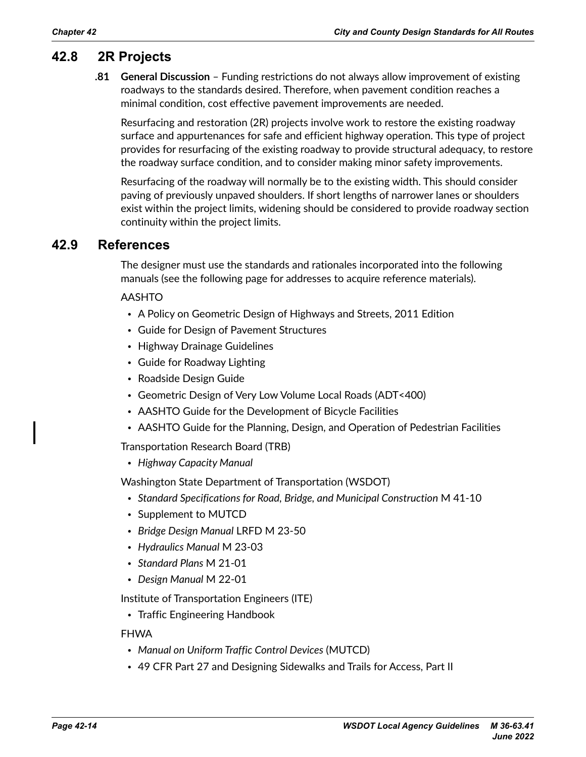## **42.8 2R Projects**

**.81 General Discussion** – Funding restrictions do not always allow improvement of existing roadways to the standards desired. Therefore, when pavement condition reaches a minimal condition, cost effective pavement improvements are needed.

Resurfacing and restoration (2R) projects involve work to restore the existing roadway surface and appurtenances for safe and efficient highway operation. This type of project provides for resurfacing of the existing roadway to provide structural adequacy, to restore the roadway surface condition, and to consider making minor safety improvements.

Resurfacing of the roadway will normally be to the existing width. This should consider paving of previously unpaved shoulders. If short lengths of narrower lanes or shoulders exist within the project limits, widening should be considered to provide roadway section continuity within the project limits.

### **42.9 References**

The designer must use the standards and rationales incorporated into the following manuals (see the following page for addresses to acquire reference materials).

#### AASHTO

- A Policy on Geometric Design of Highways and Streets, 2011 Edition
- Guide for Design of Pavement Structures
- Highway Drainage Guidelines
- Guide for Roadway Lighting
- Roadside Design Guide
- Geometric Design of Very Low Volume Local Roads (ADT<400)
- AASHTO Guide for the Development of Bicycle Facilities
- AASHTO Guide for the Planning, Design, and Operation of Pedestrian Facilities

Transportation Research Board (TRB)

• *Highway Capacity Manual*

Washington State Department of Transportation (WSDOT)

- *[Standard Specifications for Road, Bridge, and Municipal Construction](http://www.wsdot.wa.gov/Publications/Manuals/M41-10.htm)* M 41-10
- Supplement to MUTCD
- *[Bridge Design Manual](http://www.wsdot.wa.gov/Publications/Manuals/M23-50.htm)* LRFD M 23-50
- *[Hydraulics Manual](http://www.wsdot.wa.gov/Publications/Manuals/M23-03.htm)* M 23-03
- *[Standard Plans](http://www.wsdot.wa.gov/Publications/Manuals/M21-01.htm)* M 21-01
- *[Design Manual](http://www.wsdot.wa.gov/Publications/Manuals/M22-01.htm)* M 22-01

Institute of Transportation Engineers (ITE)

• Traffic Engineering Handbook

#### FHWA

- *[Manual on Uniform Traffic Control Devices](http://mutcd.fhwa.dot.gov/ser-pubs.htm)* (MUTCD)
- 49 CFR Part 27 and Designing Sidewalks and Trails for Access, Part II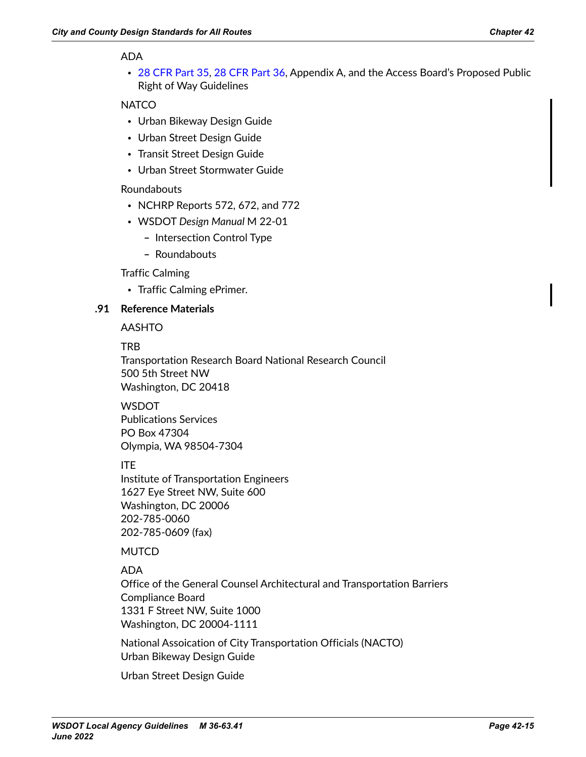#### ADA

• [28 CFR Part 35,](https://www.ecfr.gov/cgi-bin/text-idx?SID=b622615cc34aae0036f82c0ef59384b3&mc=true&node=pt28.1.35&rgn=div5) [28 CFR Part 36](https://www.ecfr.gov/cgi-bin/text-idx?SID=b622615cc34aae0036f82c0ef59384b3&mc=true&node=pt28.1.36&rgn=div5), Appendix A, and the Access Board's Proposed Public Right of Way Guidelines

#### **NATCO**

- Urban Bikeway Design Guide
- Urban Street Design Guide
- Transit Street Design Guide
- Urban Street Stormwater Guide

#### Roundabouts

- NCHRP Reports 572, 672, and 772
- WSDOT *[Design Manual](http://www.wsdot.wa.gov/Publications/Manuals/M22-01.htm)* M 22-01
	- **–** Intersection Control Type
	- **–** Roundabouts

#### Traffic Calming

• Traffic Calming ePrimer.

#### **.91 Reference Materials**

AASHTO

#### TRB

Transportation Research Board National Research Council 500 5th Street NW Washington, DC 20418

## **WSDOT**

Publications Services PO Box 47304 Olympia, WA 98504-7304

#### ITE

Institute of Transportation Engineers 1627 Eye Street NW, Suite 600 Washington, DC 20006 202-785-0060 202-785-0609 (fax)

#### **MUTCD**

#### ADA

Office of the General Counsel Architectural and Transportation Barriers Compliance Board 1331 F Street NW, Suite 1000 Washington, DC 20004-1111

National Assoication of City Transportation Officials (NACTO) Urban Bikeway Design Guide

Urban Street Design Guide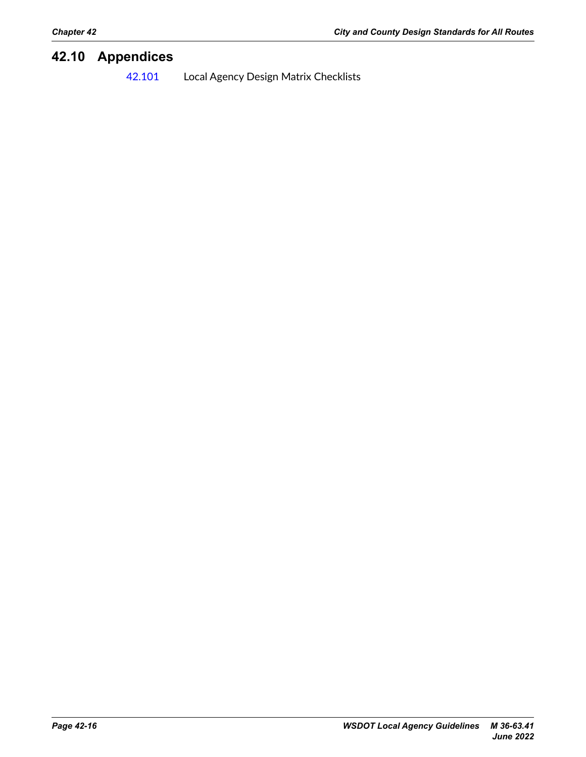## **42.10 Appendices**

42.101 Local Agency Design Matrix Checklists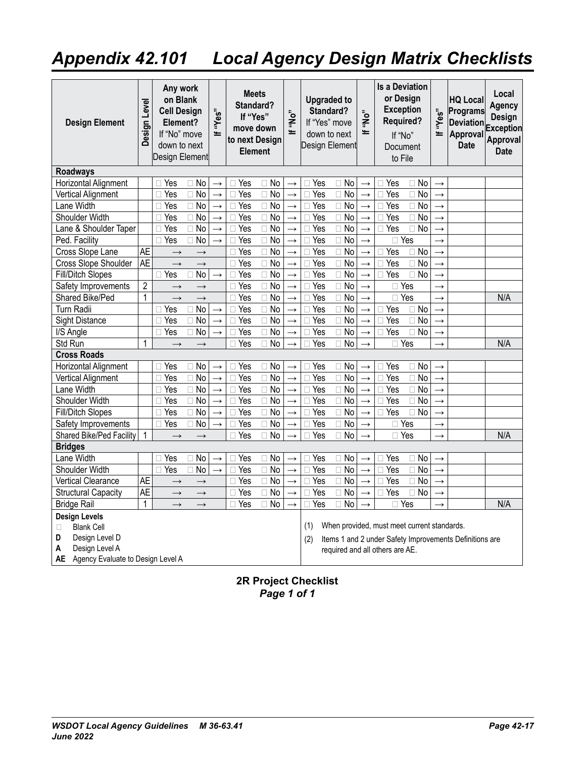## **Appendix 42.101 Local Agency Design Matrix Checklists**

| <b>Design Element</b>                                                                                                                   | Design Level   | Any work<br>on Blank<br><b>Cell Design</b><br>Element?<br>If "No" move<br>down to next<br>Design Element |                | "Yes"<br>ᆂ        | <b>Meets</b><br>Standard?<br>If "Yes"<br>to next Design | move down<br><b>Element</b> | "No"<br>ᆂ         | <b>Upgraded to</b><br>Standard?<br>If "Yes" move<br>down to next<br>Design Element |                           | "ON"<br>$=$       |                                 | <b>Is a Deviation</b><br>or Desian<br><b>Exception</b><br><b>Required?</b><br>If "No"<br>Document<br>to File | "Yes"<br>≝    | <b>HQ Local</b><br>Programs<br><b>Deviation</b><br>Approval<br><b>Date</b> | Local<br><b>Agency</b><br>Design<br><b>Exception</b><br>Approval<br><b>Date</b> |
|-----------------------------------------------------------------------------------------------------------------------------------------|----------------|----------------------------------------------------------------------------------------------------------|----------------|-------------------|---------------------------------------------------------|-----------------------------|-------------------|------------------------------------------------------------------------------------|---------------------------|-------------------|---------------------------------|--------------------------------------------------------------------------------------------------------------|---------------|----------------------------------------------------------------------------|---------------------------------------------------------------------------------|
| <b>Roadways</b>                                                                                                                         |                |                                                                                                          |                |                   |                                                         |                             |                   |                                                                                    |                           |                   |                                 |                                                                                                              |               |                                                                            |                                                                                 |
| Horizontal Alignment                                                                                                                    |                | $\Box$ Yes                                                                                               | $\Box$ No      | $\rightarrow$     | $\sqcap$ Yes                                            | $\Box$ No                   | $\rightarrow$     | $\sqcap$ Yes                                                                       | $\Box$ No                 | $\rightarrow$     | □ Yes                           | $\sqcap$ No                                                                                                  | $\rightarrow$ |                                                                            |                                                                                 |
| Vertical Alignment                                                                                                                      |                | $\Box$ Yes                                                                                               | $\Box$ No      | $\rightarrow$     | Yes<br>П                                                | $\overline{No}$<br>$\Box$   | $\rightarrow$     | Yes<br>$\Box$                                                                      | $\overline{No}$<br>$\Box$ | $\rightarrow$     | Yes<br>П.                       | $\Box$ No                                                                                                    | $\rightarrow$ |                                                                            |                                                                                 |
| Lane Width                                                                                                                              |                | $\Box$ Yes                                                                                               | $\Box$ No      | $\rightarrow$     | Yes<br>П                                                | $\Box$ No                   | $\rightarrow$     | Yes<br>П                                                                           | <b>No</b><br>$\Box$       | $\rightarrow$     | Yes<br>n.                       | $\Box$ No                                                                                                    | $\rightarrow$ |                                                                            |                                                                                 |
| Shoulder Width                                                                                                                          |                | $\Box$ Yes                                                                                               | $\Box$ No      | $\rightarrow$     | Yes<br>П                                                | $\Box$ No                   | $\rightarrow$     | Yes<br>П                                                                           | <b>No</b><br>П            | $\rightarrow$     | $\Box$ Yes                      | $\Box$ No                                                                                                    | $\rightarrow$ |                                                                            |                                                                                 |
| Lane & Shoulder Taper                                                                                                                   |                | $\Box$ Yes                                                                                               | $\Box$ No      | $\rightarrow$     | $\overline{\Box}$ Yes                                   | $\Box$ No                   | $\rightarrow$     | Yes<br>П                                                                           | $\Box$<br>No              | $\rightarrow$     | $\Box$ Yes                      | $\Box$ No                                                                                                    | $\rightarrow$ |                                                                            |                                                                                 |
| Ped. Facility                                                                                                                           |                | $\Box$ Yes                                                                                               | <b>No</b>      | $\rightarrow$     | Yes                                                     | $\Box$ No                   | $\rightarrow$     | Yes<br>П                                                                           | $\overline{No}$<br>$\Box$ | $\rightarrow$     |                                 | $\overline{\Box}$ Yes                                                                                        | $\rightarrow$ |                                                                            |                                                                                 |
| Cross Slope Lane                                                                                                                        | <b>AE</b>      | $\rightarrow$                                                                                            | $\rightarrow$  |                   | $\Box$ Yes                                              | $\Box$ No                   | $\rightarrow$     | Yes<br>П                                                                           | <b>No</b><br>$\Box$       | $\rightarrow$     | $\Box$ Yes                      | $\Box$ No                                                                                                    | $\rightarrow$ |                                                                            |                                                                                 |
| Cross Slope Shoulder                                                                                                                    | <b>AE</b>      | $\rightarrow$                                                                                            | $\rightarrow$  |                   | $\Box$ Yes                                              | $\Box$ No                   | $\rightarrow$     | Yes<br>П                                                                           | <b>No</b><br>$\Box$       | $\rightarrow$     | $\Box$ Yes                      | $\Box$ No                                                                                                    | $\rightarrow$ |                                                                            |                                                                                 |
| Fill/Ditch Slopes                                                                                                                       |                | $\Box$ Yes                                                                                               | No             | $\rightarrow$     | $\Box$ Yes                                              | $\Box$ No                   | $\rightarrow$     | Yes<br>$\Box$                                                                      | No<br>$\Box$              | $\rightarrow$     | $\Box$ Yes                      | $\Box$ No                                                                                                    | $\rightarrow$ |                                                                            |                                                                                 |
| Safety Improvements                                                                                                                     | $\overline{c}$ | $\rightarrow$                                                                                            | $\rightarrow$  |                   | $\Box$ Yes                                              | $\Box$ No                   | $\rightarrow$     | Yes<br>П                                                                           | <b>No</b><br>$\Box$       | $\rightarrow$     |                                 | $\Box$ Yes                                                                                                   | $\rightarrow$ |                                                                            |                                                                                 |
| Shared Bike/Ped                                                                                                                         | $\mathbf{1}$   | $\rightarrow$                                                                                            | $\rightarrow$  |                   | $\Box$ Yes                                              | $\Box$ No                   | $\longrightarrow$ | Yes<br>П                                                                           | $\Box$ No                 | $\rightarrow$     |                                 | $\Box$ Yes                                                                                                   | $\rightarrow$ |                                                                            | N/A                                                                             |
| Turn Radii                                                                                                                              |                | $\Box$ Yes                                                                                               | No             | $\rightarrow$     | $\Box$ Yes                                              | $\Box$ No                   | $\rightarrow$     | Yes<br>п                                                                           | <b>No</b><br>$\Box$       | $\rightarrow$     | $\Box$ Yes                      | $\Box$ No                                                                                                    | $\rightarrow$ |                                                                            |                                                                                 |
| Sight Distance                                                                                                                          |                | $\Box$ Yes                                                                                               | <b>No</b><br>П | $\longrightarrow$ | $\Box$ Yes                                              | $\Box$ No                   | $\rightarrow$     | Yes<br>П                                                                           | <b>No</b><br>$\Box$       | $\longrightarrow$ | $\Box$ Yes                      | $\Box$ No                                                                                                    | $\rightarrow$ |                                                                            |                                                                                 |
| I/S Angle                                                                                                                               |                | □ Yes                                                                                                    | No             | $\rightarrow$     | Yes                                                     | No<br>П                     | $\rightarrow$     | Yes                                                                                | No<br>П                   | $\rightarrow$     | Yes<br>П.                       | $\Box$ No                                                                                                    | $\rightarrow$ |                                                                            |                                                                                 |
| Std Run                                                                                                                                 | 1              | $\rightarrow$                                                                                            | $\rightarrow$  |                   | $\Box$ Yes                                              | $\Box$ No                   | $\rightarrow$     | Yes<br>$\Box$                                                                      | <b>No</b><br>П            | $\rightarrow$     |                                 | $\Box$ Yes                                                                                                   | $\rightarrow$ |                                                                            | N/A                                                                             |
| <b>Cross Roads</b>                                                                                                                      |                |                                                                                                          |                |                   |                                                         |                             |                   |                                                                                    |                           |                   |                                 |                                                                                                              |               |                                                                            |                                                                                 |
| Horizontal Alignment                                                                                                                    |                | $\Box$ Yes                                                                                               | No<br>П        | $\rightarrow$     | $\Box$ Yes                                              | $\Box$ No                   | $\rightarrow$     | Yes<br>П                                                                           | No<br>П                   | $\rightarrow$     | $\Box$ Yes                      | $\Box$ No                                                                                                    | $\rightarrow$ |                                                                            |                                                                                 |
| Vertical Alignment                                                                                                                      |                | $\Box$ Yes                                                                                               | No<br>П        | $\rightarrow$     | Yes<br>П                                                | No<br>П                     | $\rightarrow$     | Yes<br>П                                                                           | <b>No</b><br>П            | $\rightarrow$     | Yes<br>П                        | $\Box$ No                                                                                                    | $\rightarrow$ |                                                                            |                                                                                 |
| Lane Width                                                                                                                              |                | $\Box$ Yes                                                                                               | $\Box$ No      | $\rightarrow$     | Yes<br>П                                                | $\Box$ No                   | $\rightarrow$     | Yes<br>$\Box$                                                                      | <b>No</b><br>$\Box$       | $\rightarrow$     | Yes<br>П                        | $\Box$ No                                                                                                    | $\rightarrow$ |                                                                            |                                                                                 |
| Shoulder Width                                                                                                                          |                | □ Yes                                                                                                    | $\Box$ No      | $\rightarrow$     | $\Box$ Yes                                              | $\Box$ No                   | $\rightarrow$     | Yes<br>П                                                                           | <b>No</b><br>П            | $\rightarrow$     | $\Box$ Yes                      | $\Box$ No                                                                                                    | $\rightarrow$ |                                                                            |                                                                                 |
| Fill/Ditch Slopes                                                                                                                       |                | $\Box$ Yes                                                                                               | $\Box$ No      | $\rightarrow$     | $\Box$ Yes                                              | $\Box$ No                   | $\rightarrow$     | Yes<br>П                                                                           | No<br>П                   | $\rightarrow$     | $\Box$ Yes                      | $\Box$ No                                                                                                    | $\rightarrow$ |                                                                            |                                                                                 |
| Safety Improvements                                                                                                                     |                | □ Yes                                                                                                    | No<br>П        | $\rightarrow$     | Yes<br>П                                                | No<br>П                     | $\rightarrow$     | Yes<br>П                                                                           | No<br>$\Box$              | $\rightarrow$     |                                 | $\Box$ Yes                                                                                                   | $\rightarrow$ |                                                                            |                                                                                 |
| Shared Bike/Ped Facility                                                                                                                | 1              | $\rightarrow$                                                                                            | $\rightarrow$  |                   | $\Box$ Yes                                              | $\Box$ No                   | $\rightarrow$     | Yes<br>$\Box$                                                                      | <b>No</b><br>$\Box$       | $\rightarrow$     |                                 | $\Box$ Yes                                                                                                   | $\rightarrow$ |                                                                            | N/A                                                                             |
| <b>Bridges</b>                                                                                                                          |                |                                                                                                          |                |                   |                                                         |                             |                   |                                                                                    |                           |                   |                                 |                                                                                                              |               |                                                                            |                                                                                 |
| Lane Width                                                                                                                              |                | □ Yes                                                                                                    | $\Box$ No      | $\rightarrow$     | $\bar{\Box}$ Yes                                        | $\Box$ No                   | $\rightarrow$     | Yes<br>□                                                                           | $\Box$ No                 | $\rightarrow$     | Yes<br>$\Box$                   | $\Box$ No                                                                                                    | $\rightarrow$ |                                                                            |                                                                                 |
| Shoulder Width                                                                                                                          |                | $\Box$ Yes                                                                                               | <b>No</b><br>П | $\rightarrow$     | Yes<br>П                                                | <b>No</b><br>$\Box$         | $\rightarrow$     | Yes<br>$\Box$                                                                      | No<br>$\Box$              | $\rightarrow$     | $\Box$ Yes                      | $\Box$ No                                                                                                    | $\rightarrow$ |                                                                            |                                                                                 |
| Vertical Clearance                                                                                                                      | <b>AE</b>      | $\rightarrow$                                                                                            | $\rightarrow$  |                   | □ Yes                                                   | $\Box$ No                   | $\rightarrow$     | Yes<br>$\Box$                                                                      | <b>No</b><br>$\Box$       | $\rightarrow$     | Yes<br>$\Box$                   | $\Box$ No                                                                                                    | $\rightarrow$ |                                                                            |                                                                                 |
| <b>Structural Capacity</b>                                                                                                              | <b>AE</b>      | $\rightarrow$                                                                                            | $\rightarrow$  |                   | □ Yes                                                   | $\square$ No                | $\rightarrow$     | Yes<br>П                                                                           | No<br>$\Box$              | $\rightarrow$     | Yes<br>$\Box$                   | $\Box$ No                                                                                                    | $\rightarrow$ |                                                                            |                                                                                 |
| <b>Bridge Rail</b>                                                                                                                      | $\mathbf{1}$   | $\rightarrow$                                                                                            | $\rightarrow$  |                   | $\Box$ Yes                                              | $\Box$ No                   | $\rightarrow$     | Yes<br>П                                                                           | No<br>$\Box$              | $\rightarrow$     |                                 | $\Box$ Yes                                                                                                   | $\rightarrow$ |                                                                            | N/A                                                                             |
| <b>Design Levels</b><br><b>Blank Cell</b><br>□<br>D<br>Design Level D<br>A<br>Design Level A<br>AE<br>Agency Evaluate to Design Level A |                |                                                                                                          |                |                   |                                                         |                             |                   | (1)<br>(2)                                                                         |                           |                   | required and all others are AE. | When provided, must meet current standards.                                                                  |               | Items 1 and 2 under Safety Improvements Definitions are                    |                                                                                 |

## 2R Project Checklist<br>Page 1 of 1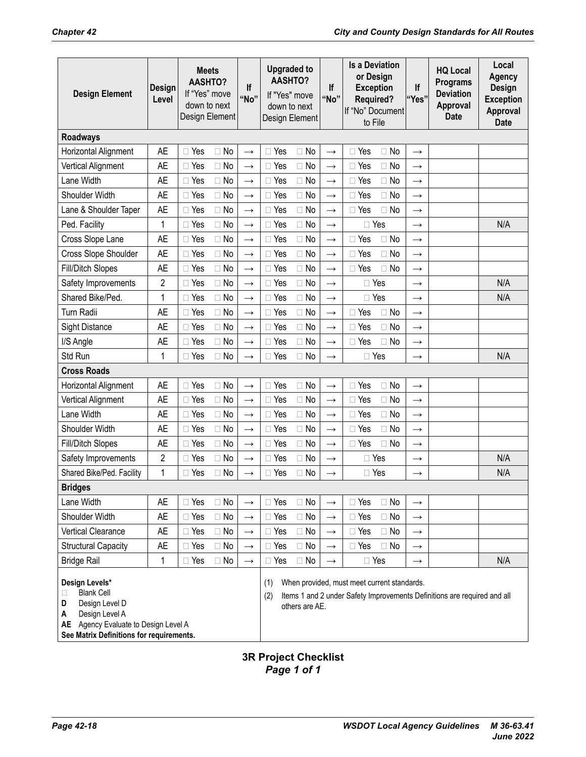| <b>Design Element</b>                                                                                                                                                         | Design<br>Level | <b>Meets</b><br><b>AASHTO?</b><br>If "Yes" move<br>down to next<br>Design Element | If<br>"No"    | <b>Upgraded to</b><br><b>AASHTO?</b><br>If "Yes" move<br>down to next | Design Element | lf<br>"No"    | <b>Is a Deviation</b><br>or Design<br><b>Exception</b><br><b>Required?</b><br>If "No" Document<br>to File               | lf<br>"Yes"   | <b>HQ Local</b><br><b>Programs</b><br><b>Deviation</b><br>Approval<br><b>Date</b> | Local<br>Agency<br><b>Design</b><br><b>Exception</b><br>Approval<br><b>Date</b> |
|-------------------------------------------------------------------------------------------------------------------------------------------------------------------------------|-----------------|-----------------------------------------------------------------------------------|---------------|-----------------------------------------------------------------------|----------------|---------------|-------------------------------------------------------------------------------------------------------------------------|---------------|-----------------------------------------------------------------------------------|---------------------------------------------------------------------------------|
| <b>Roadways</b>                                                                                                                                                               |                 |                                                                                   |               |                                                                       |                |               |                                                                                                                         |               |                                                                                   |                                                                                 |
| Horizontal Alignment                                                                                                                                                          | <b>AE</b>       | $\Box$ Yes<br>$\Box$ No                                                           | $\rightarrow$ | $\Box$ Yes                                                            | $\Box$ No      | $\rightarrow$ | $\Box$ Yes<br>$\Box$ No                                                                                                 | $\rightarrow$ |                                                                                   |                                                                                 |
| Vertical Alignment                                                                                                                                                            | <b>AE</b>       | $\Box$ Yes<br>$\Box$ No                                                           | $\rightarrow$ | $\Box$ Yes                                                            | $\Box$ No      | $\rightarrow$ | $\Box$ Yes<br>$\Box$ No                                                                                                 | $\rightarrow$ |                                                                                   |                                                                                 |
| Lane Width                                                                                                                                                                    | <b>AE</b>       | $\Box$ Yes<br>$\Box$ No                                                           | $\rightarrow$ | $\Box$ Yes                                                            | $\Box$ No      | $\rightarrow$ | $\Box$ Yes<br>$\Box$ No                                                                                                 | $\rightarrow$ |                                                                                   |                                                                                 |
| Shoulder Width                                                                                                                                                                | <b>AE</b>       | $\Box$ No<br>$\Box$ Yes                                                           | $\rightarrow$ | $\Box$ Yes                                                            | $\Box$ No      | $\rightarrow$ | $\Box$ Yes<br>$\Box$ No                                                                                                 | $\rightarrow$ |                                                                                   |                                                                                 |
| Lane & Shoulder Taper                                                                                                                                                         | <b>AE</b>       | $\Box$ Yes<br>$\Box$ No                                                           | $\rightarrow$ | $\Box$ Yes                                                            | $\Box$ No      | $\rightarrow$ | $\Box$ No<br>$\Box$ Yes                                                                                                 | $\rightarrow$ |                                                                                   |                                                                                 |
| Ped. Facility                                                                                                                                                                 | $\mathbf{1}$    | $\Box$ Yes<br>$\Box$ No                                                           | $\rightarrow$ | □ Yes                                                                 | $\Box$ No      | $\rightarrow$ | □ Yes                                                                                                                   | $\rightarrow$ |                                                                                   | N/A                                                                             |
| Cross Slope Lane                                                                                                                                                              | <b>AE</b>       | $\Box$ Yes<br>$\Box$ No                                                           | $\rightarrow$ | $\Box$ Yes                                                            | $\Box$ No      | $\rightarrow$ | No<br>$\Box$ Yes                                                                                                        | $\rightarrow$ |                                                                                   |                                                                                 |
| Cross Slope Shoulder                                                                                                                                                          | <b>AE</b>       | $\Box$ Yes<br>$\Box$ No                                                           | $\rightarrow$ | □ Yes                                                                 | $\Box$ No      | $\rightarrow$ | $\Box$ No<br>$\Box$ Yes                                                                                                 | $\rightarrow$ |                                                                                   |                                                                                 |
| <b>Fill/Ditch Slopes</b>                                                                                                                                                      | <b>AE</b>       | $\Box$ Yes<br>$\Box$ No                                                           | $\rightarrow$ | $\Box$ Yes                                                            | $\Box$ No      | $\rightarrow$ | $\Box$ Yes<br>$\Box$ No                                                                                                 | $\rightarrow$ |                                                                                   |                                                                                 |
| Safety Improvements                                                                                                                                                           | $\overline{2}$  | $\Box$ Yes<br>$\Box$ No                                                           | $\rightarrow$ | $\Box$ Yes                                                            | $\Box$ No      | $\rightarrow$ | $\Box$ Yes                                                                                                              | $\rightarrow$ |                                                                                   | N/A                                                                             |
| Shared Bike/Ped.                                                                                                                                                              | 1               | $\Box$ Yes<br>$\Box$ No                                                           | $\rightarrow$ | $\Box$ Yes                                                            | $\Box$ No      | $\rightarrow$ | $\Box$ Yes                                                                                                              | $\rightarrow$ |                                                                                   | N/A                                                                             |
| <b>Turn Radii</b>                                                                                                                                                             | <b>AE</b>       | $\Box$ Yes<br>$\Box$ No                                                           | $\rightarrow$ | $\Box$ Yes                                                            | $\Box$ No      | $\rightarrow$ | $\Box$ Yes<br>$\Box$ No                                                                                                 | $\rightarrow$ |                                                                                   |                                                                                 |
| <b>Sight Distance</b>                                                                                                                                                         | <b>AE</b>       | $\Box$ Yes<br>$\Box$ No                                                           | $\rightarrow$ | $\Box$ Yes                                                            | $\Box$ No      | $\rightarrow$ | $\Box$ No<br>$\Box$ Yes                                                                                                 | $\rightarrow$ |                                                                                   |                                                                                 |
| I/S Angle                                                                                                                                                                     | <b>AE</b>       | $\Box$ No<br>Yes                                                                  | $\rightarrow$ | $\Box$ Yes                                                            | $\Box$ No      | $\rightarrow$ | $\Box$ Yes<br>$\Box$ No                                                                                                 | $\rightarrow$ |                                                                                   |                                                                                 |
| Std Run                                                                                                                                                                       | 1               | $\Box$ No<br>$\Box$ Yes                                                           | $\rightarrow$ | $\Box$ Yes                                                            | $\Box$ No      | $\rightarrow$ | $\Box$ Yes                                                                                                              | $\rightarrow$ |                                                                                   | N/A                                                                             |
| <b>Cross Roads</b>                                                                                                                                                            |                 |                                                                                   |               |                                                                       |                |               |                                                                                                                         |               |                                                                                   |                                                                                 |
| Horizontal Alignment                                                                                                                                                          | <b>AE</b>       | $\Box$ Yes<br>$\Box$ No                                                           | $\rightarrow$ | $\Box$ Yes                                                            | $\Box$ No      | $\rightarrow$ | □ Yes<br>$\Box$ No                                                                                                      | $\rightarrow$ |                                                                                   |                                                                                 |
| Vertical Alignment                                                                                                                                                            | <b>AE</b>       | $\Box$ Yes<br>$\Box$ No                                                           | $\rightarrow$ | $\Box$ Yes                                                            | $\Box$ No      | $\rightarrow$ | $\Box$ No<br>$\Box$ Yes                                                                                                 | $\rightarrow$ |                                                                                   |                                                                                 |
| Lane Width                                                                                                                                                                    | <b>AE</b>       | $\Box$ Yes<br>$\Box$ No                                                           | $\rightarrow$ | $\Box$ Yes                                                            | $\Box$ No      | $\rightarrow$ | $\Box$ Yes<br>$\Box$ No                                                                                                 | $\rightarrow$ |                                                                                   |                                                                                 |
| Shoulder Width                                                                                                                                                                | <b>AE</b>       | $\Box$ Yes<br>$\Box$ No                                                           | $\rightarrow$ | $\Box$ Yes                                                            | $\Box$ No      | $\rightarrow$ | $\Box$ Yes<br>$\Box$ No                                                                                                 | $\rightarrow$ |                                                                                   |                                                                                 |
| <b>Fill/Ditch Slopes</b>                                                                                                                                                      | <b>AE</b>       | $\Box$ Yes<br>$\Box$ No                                                           | $\rightarrow$ | $\Box$ Yes                                                            | $\Box$ No      | $\rightarrow$ | $\Box$ Yes<br>$\Box$ No                                                                                                 | $\rightarrow$ |                                                                                   |                                                                                 |
| Safety Improvements                                                                                                                                                           | $\overline{c}$  | $\Box$ Yes<br>$\Box$ No                                                           | $\rightarrow$ | $\Box$ Yes                                                            | $\Box$ No      | $\rightarrow$ | $\Box$ Yes                                                                                                              | $\rightarrow$ |                                                                                   | N/A                                                                             |
| Shared Bike/Ped. Facility                                                                                                                                                     | 1               | $\Box$ Yes<br>$\Box$ No                                                           | $\rightarrow$ | $\Box$ Yes                                                            | $\Box$ No      | $\rightarrow$ | $\Box$ Yes                                                                                                              | $\rightarrow$ |                                                                                   | N/A                                                                             |
| <b>Bridges</b>                                                                                                                                                                |                 |                                                                                   |               |                                                                       |                |               |                                                                                                                         |               |                                                                                   |                                                                                 |
| Lane Width                                                                                                                                                                    | <b>AE</b>       | $\Box$ Yes<br>$\Box$ No                                                           | $\rightarrow$ | $\Box$ Yes                                                            | $\Box$ No      | $\rightarrow$ | $\Box$ Yes<br>$\Box$ No                                                                                                 | $\rightarrow$ |                                                                                   |                                                                                 |
| Shoulder Width                                                                                                                                                                | <b>AE</b>       | $\Box$ Yes<br>$\Box$ No                                                           | $\rightarrow$ | $\Box$ Yes                                                            | $\Box$ No      | $\rightarrow$ | $\Box$ Yes<br>$\Box$ No                                                                                                 | $\rightarrow$ |                                                                                   |                                                                                 |
| Vertical Clearance                                                                                                                                                            | <b>AE</b>       | $\Box$ No<br>$\Box$ Yes                                                           | $\rightarrow$ | $\Box$ Yes                                                            | $\Box$ No      | $\rightarrow$ | $\Box$ No<br>$\Box$ Yes                                                                                                 | $\rightarrow$ |                                                                                   |                                                                                 |
| <b>Structural Capacity</b>                                                                                                                                                    | <b>AE</b>       | $\Box$ Yes<br>$\Box$ No                                                           | $\rightarrow$ | $\Box$ Yes                                                            | $\Box$ No      | $\rightarrow$ | $\Box$ Yes<br>$\Box$ No                                                                                                 | $\rightarrow$ |                                                                                   |                                                                                 |
| <b>Bridge Rail</b>                                                                                                                                                            | 1               | $\Box$ Yes<br>$\Box$ No                                                           | $\rightarrow$ | $\Box$ Yes                                                            | $\Box$ No      | $\rightarrow$ | $\Box$ Yes                                                                                                              | $\rightarrow$ |                                                                                   | N/A                                                                             |
| Design Levels*<br><b>Blank Cell</b><br>□<br>Design Level D<br>D<br>Design Level A<br>Α<br>Agency Evaluate to Design Level A<br>AE<br>See Matrix Definitions for requirements. |                 |                                                                                   |               | (1)<br>(2)                                                            | others are AE. |               | When provided, must meet current standards.<br>Items 1 and 2 under Safety Improvements Definitions are required and all |               |                                                                                   |                                                                                 |

# 3R Project Checklist<br>Page 1 of 1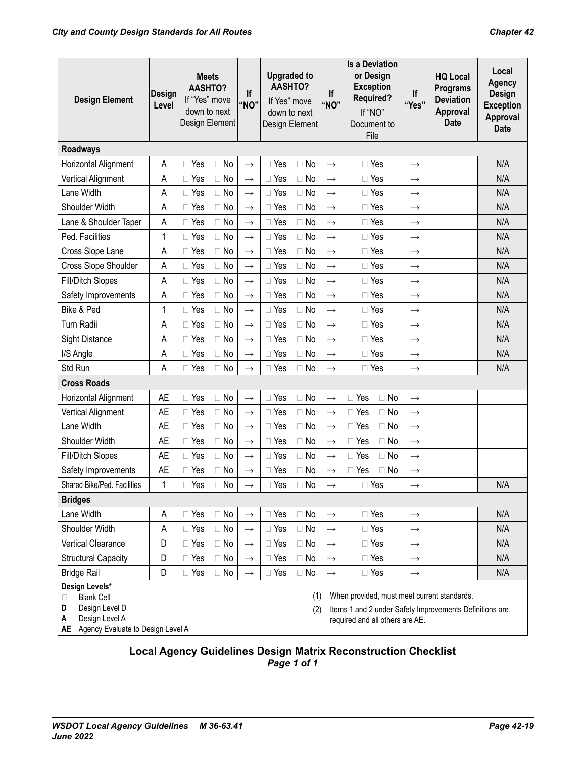| <b>Design Element</b>                                                                                                          | Design<br>Level | <b>Meets</b><br><b>AASHTO?</b><br>If "Yes" move<br>down to next<br>Design Element |           | If<br>"NO"        | <b>Upgraded to</b><br><b>AASHTO?</b><br>If Yes" move<br>down to next<br>Design Element |            | If<br>"NO"        | <b>Is a Deviation</b><br>or Design<br><b>Exception</b><br><b>Required?</b><br>If "NO"<br>Document to<br>File                              | lf<br>"Yes"   | <b>HQ Local</b><br><b>Programs</b><br><b>Deviation</b><br>Approval<br><b>Date</b> | Local<br><b>Agency</b><br><b>Design</b><br><b>Exception</b><br>Approval<br><b>Date</b> |
|--------------------------------------------------------------------------------------------------------------------------------|-----------------|-----------------------------------------------------------------------------------|-----------|-------------------|----------------------------------------------------------------------------------------|------------|-------------------|-------------------------------------------------------------------------------------------------------------------------------------------|---------------|-----------------------------------------------------------------------------------|----------------------------------------------------------------------------------------|
| <b>Roadways</b>                                                                                                                |                 |                                                                                   |           |                   |                                                                                        |            |                   |                                                                                                                                           |               |                                                                                   |                                                                                        |
| Horizontal Alignment                                                                                                           | Α               | Yes                                                                               | $\Box$ No | $\rightarrow$     | $\Box$ Yes                                                                             | $\Box$ No  | $\rightarrow$     | $\Box$ Yes                                                                                                                                | $\rightarrow$ |                                                                                   | N/A                                                                                    |
| Vertical Alignment                                                                                                             | Α               | $\Box$ Yes                                                                        | $\Box$ No | $\rightarrow$     | $\Box$ Yes                                                                             | $\Box$ No  | $\rightarrow$     | □ Yes                                                                                                                                     | $\rightarrow$ |                                                                                   | N/A                                                                                    |
| Lane Width                                                                                                                     | Α               | $\Box$ Yes                                                                        | $\Box$ No | $\rightarrow$     | $\Box$ Yes                                                                             | $\Box$ No  | $\rightarrow$     | $\Box$ Yes                                                                                                                                | $\rightarrow$ |                                                                                   | N/A                                                                                    |
| Shoulder Width                                                                                                                 | A               | Yes<br>П.                                                                         | $\Box$ No | $\rightarrow$     | Yes<br>$\Box$                                                                          | $\Box$ No  | $\rightarrow$     | $\Box$ Yes                                                                                                                                | $\rightarrow$ |                                                                                   | N/A                                                                                    |
| Lane & Shoulder Taper                                                                                                          | A               | $\Box$ Yes                                                                        | $\Box$ No | $\longrightarrow$ | $\Box$ Yes                                                                             | $\Box$ No  | $\rightarrow$     | $\Box$ Yes                                                                                                                                | $\rightarrow$ |                                                                                   | N/A                                                                                    |
| Ped. Facilities                                                                                                                | 1               | $\Box$ Yes                                                                        | $\Box$ No | $\rightarrow$     | $\Box$ Yes                                                                             | $\Box$ No  | $\rightarrow$     | $\Box$ Yes                                                                                                                                | $\rightarrow$ |                                                                                   | N/A                                                                                    |
| Cross Slope Lane                                                                                                               | A               | $\Box$ Yes                                                                        | $\Box$ No | $\longrightarrow$ | $\Box$ Yes                                                                             | $\Box$ No  | $\rightarrow$     | $\Box$ Yes                                                                                                                                | $\rightarrow$ |                                                                                   | N/A                                                                                    |
| Cross Slope Shoulder                                                                                                           | Α               | $\Box$ Yes                                                                        | $\Box$ No | $\rightarrow$     | $\Box$ Yes                                                                             | $\Box$ No  | $\rightarrow$     | $\Box$ Yes                                                                                                                                | $\rightarrow$ |                                                                                   | N/A                                                                                    |
| <b>Fill/Ditch Slopes</b>                                                                                                       | Α               | $\Box$ Yes                                                                        | $\Box$ No | $\longrightarrow$ | $\Box$ Yes                                                                             | $\Box$ No  | $\rightarrow$     | $\Box$ Yes                                                                                                                                | $\rightarrow$ |                                                                                   | N/A                                                                                    |
| Safety Improvements                                                                                                            | А               | Yes                                                                               | $\Box$ No | $\rightarrow$     | $\Box$ Yes                                                                             | $\Box$ No  | $\rightarrow$     | $\Box$ Yes                                                                                                                                | $\rightarrow$ |                                                                                   | N/A                                                                                    |
| Bike & Ped                                                                                                                     | 1               | Yes<br>П                                                                          | $\Box$ No | $\rightarrow$     | $\Box$ Yes                                                                             | $\Box$ No  | $\rightarrow$     | $\Box$ Yes                                                                                                                                | $\rightarrow$ |                                                                                   | N/A                                                                                    |
| Turn Radii                                                                                                                     | Α               | Yes                                                                               | $\Box$ No | $\rightarrow$     | $\Box$ Yes                                                                             | $\Box$ No  | $\rightarrow$     | $\Box$ Yes                                                                                                                                | $\rightarrow$ |                                                                                   | N/A                                                                                    |
| Sight Distance                                                                                                                 | A               | $\Box$ Yes                                                                        | $\Box$ No | $\rightarrow$     | $\Box$ Yes                                                                             | $\Box$ No  | $\rightarrow$     | $\Box$ Yes                                                                                                                                | $\rightarrow$ |                                                                                   | N/A                                                                                    |
| I/S Angle                                                                                                                      | Α               | $\Box$ Yes                                                                        | $\Box$ No | $\longrightarrow$ | $\Box$ Yes                                                                             | $\Box$ No  | $\rightarrow$     | $\Box$ Yes                                                                                                                                | $\rightarrow$ |                                                                                   | N/A                                                                                    |
| Std Run                                                                                                                        | Α               | $\Box$ Yes                                                                        | $\Box$ No | $\rightarrow$     | $\Box$ Yes                                                                             | $\Box$ No  | $\rightarrow$     | $\Box$ Yes                                                                                                                                | $\rightarrow$ |                                                                                   | N/A                                                                                    |
| <b>Cross Roads</b>                                                                                                             |                 |                                                                                   |           |                   |                                                                                        |            |                   |                                                                                                                                           |               |                                                                                   |                                                                                        |
| Horizontal Alignment                                                                                                           | <b>AE</b>       | $\Box$ Yes                                                                        | $\Box$ No | $\rightarrow$     | $\Box$ Yes                                                                             | $\Box$ No  | $\rightarrow$     | $\Box$ Yes<br>$\Box$ No                                                                                                                   | $\rightarrow$ |                                                                                   |                                                                                        |
| Vertical Alignment                                                                                                             | AE              | $\Box$ Yes                                                                        | $\Box$ No | $\longrightarrow$ | $\Box$ Yes                                                                             | $\Box$ No  | $\rightarrow$     | $\Box$ Yes<br>$\Box$ No                                                                                                                   | $\rightarrow$ |                                                                                   |                                                                                        |
| Lane Width                                                                                                                     | <b>AE</b>       | Yes                                                                               | $\Box$ No | $\rightarrow$     | $\Box$ Yes                                                                             | $\Box$ No  | $\rightarrow$     | $\Box$ Yes<br>$\Box$ No                                                                                                                   | $\rightarrow$ |                                                                                   |                                                                                        |
| Shoulder Width                                                                                                                 | <b>AE</b>       | $\Box$ Yes                                                                        | $\Box$ No | $\longrightarrow$ | $\Box$ Yes                                                                             | $\Box$ No  | $\rightarrow$     | $\Box$ Yes<br>$\Box$ No                                                                                                                   | $\rightarrow$ |                                                                                   |                                                                                        |
| <b>Fill/Ditch Slopes</b>                                                                                                       | AE              | Yes                                                                               | $\Box$ No | $\rightarrow$     | $\Box$ Yes                                                                             | $\Box$ No  | $\rightarrow$     | $\Box$ Yes<br>$\Box$ No                                                                                                                   | $\rightarrow$ |                                                                                   |                                                                                        |
| Safety Improvements                                                                                                            | <b>AE</b>       | $\Box$ Yes                                                                        | $\Box$ No | $\rightarrow$     | $\Box$ Yes                                                                             | $\Box$ No  | $\rightarrow$     | $\Box$ Yes<br>$\Box$ No                                                                                                                   | $\rightarrow$ |                                                                                   |                                                                                        |
| Shared Bike/Ped. Facilities                                                                                                    | $\mathbf{1}$    | $\Box$ Yes                                                                        | $\Box$ No | $\rightarrow$     | $\Box$ Yes                                                                             | $\Box$ No  | $\rightarrow$     | $\Box$ Yes                                                                                                                                | $\rightarrow$ |                                                                                   | N/A                                                                                    |
| <b>Bridges</b>                                                                                                                 |                 |                                                                                   |           |                   |                                                                                        |            |                   |                                                                                                                                           |               |                                                                                   |                                                                                        |
| Lane Width                                                                                                                     | Α               | $\Box$ Yes                                                                        | $\Box$ No | $\longrightarrow$ | $\Box$ Yes                                                                             | $\Box$ No  | $\rightarrow$     | $\Box$ Yes                                                                                                                                | $\rightarrow$ |                                                                                   | N/A                                                                                    |
| Shoulder Width                                                                                                                 | A               | $\Box$ Yes                                                                        | $\Box$ No | $\longrightarrow$ | $\Box$ Yes                                                                             | $\Box$ No  | $\rightarrow$     | $\Box$ Yes                                                                                                                                | $\rightarrow$ |                                                                                   | N/A                                                                                    |
| Vertical Clearance                                                                                                             | D               | $\Box$ Yes                                                                        | $\Box$ No | $\longrightarrow$ | $\Box$ Yes                                                                             | $\Box$ No  | $\longrightarrow$ | $\Box$ Yes                                                                                                                                | $\rightarrow$ |                                                                                   | N/A                                                                                    |
| <b>Structural Capacity</b>                                                                                                     | D               | $\Box$ Yes                                                                        | $\Box$ No | $\longrightarrow$ | $\Box$ Yes                                                                             | $\Box$ No  | $\rightarrow$     | $\Box$ Yes                                                                                                                                | $\rightarrow$ |                                                                                   | N/A                                                                                    |
| <b>Bridge Rail</b>                                                                                                             | D               | $\Box$ Yes                                                                        | $\Box$ No | $\longrightarrow$ | $\Box$ Yes                                                                             | $\Box$ No  | $\rightarrow$     | $\Box$ Yes                                                                                                                                | $\rightarrow$ |                                                                                   | N/A                                                                                    |
| Design Levels*<br><b>Blank Cell</b><br>□<br>Design Level D<br>D<br>Design Level A<br>Α<br>AE Agency Evaluate to Design Level A |                 |                                                                                   |           |                   |                                                                                        | (1)<br>(2) |                   | When provided, must meet current standards.<br>Items 1 and 2 under Safety Improvements Definitions are<br>required and all others are AE. |               |                                                                                   |                                                                                        |

#### Local Agency Guidelines Design Matrix Reconstruction Checklist Page 1 of 1